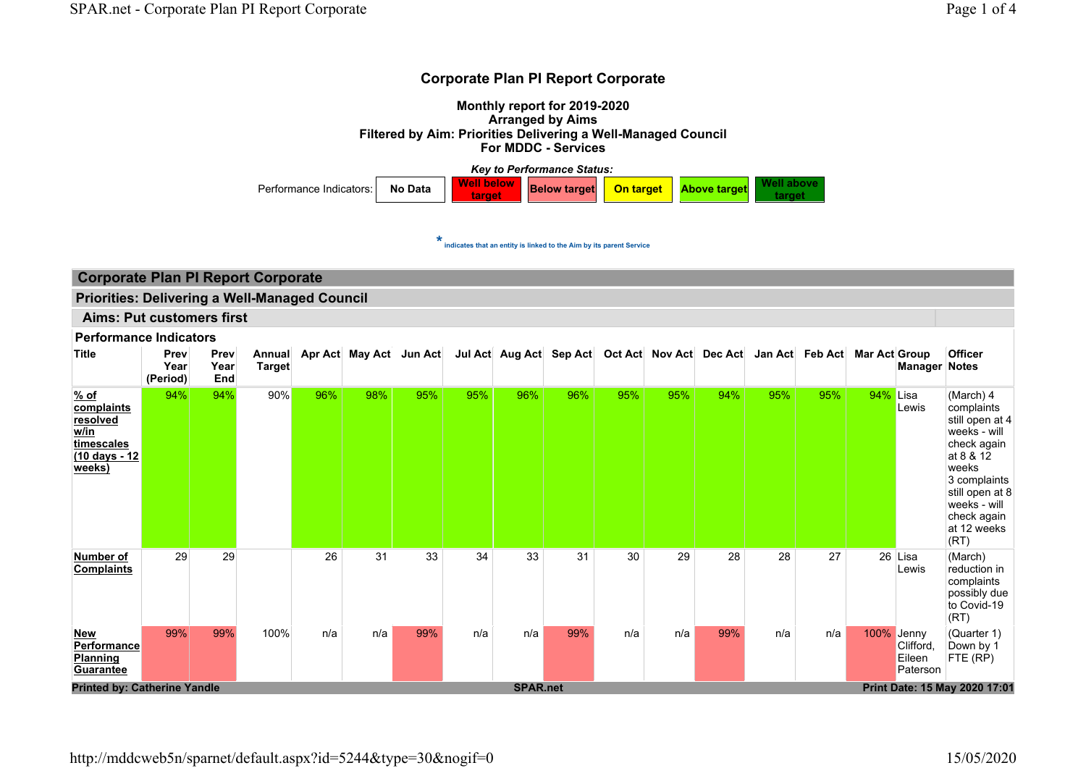#### Corporate Plan PI Report Corporate

Monthly report for 2019-2020 Arranged by Aims Filtered by Aim: Priorities Delivering a Well-Managed Council For MDDC - Services



 $\star$  indicates that an entity is linked to the Aim by its parent Service

## Corporate Plan PI Report Corporate

Priorities: Delivering a Well-Managed Council

Aims: Put customers first

#### Performance Indicators

| <b>Title</b>                                                                           | Prev<br>Year<br>(Period) | Prev<br>Year<br>End | Annual<br><b>Target</b> |     | Apr Act May Act Jun Act |     |     | Jul Act Aug Act Sep Act Oct Act Nov Act Dec Act |     |     |     |     |     | Jan Act Feb Act | <b>Mar Act Group</b> | <b>Manager Notes</b>                     | <b>Officer</b>                                                                                                                                                                           |
|----------------------------------------------------------------------------------------|--------------------------|---------------------|-------------------------|-----|-------------------------|-----|-----|-------------------------------------------------|-----|-----|-----|-----|-----|-----------------|----------------------|------------------------------------------|------------------------------------------------------------------------------------------------------------------------------------------------------------------------------------------|
| % of<br>complaints<br>resolved<br>w/in<br>timescales<br><u>(10 days - 12</u><br>weeks) | 94%                      | 94%                 | 90%                     | 96% | 98%                     | 95% | 95% | 96%                                             | 96% | 95% | 95% | 94% | 95% | 95%             | 94%                  | Lisa<br>Lewis                            | (March) 4<br>complaints<br>still open at 4<br>weeks - will<br>check again<br>at 8 & 12<br>weeks<br>3 complaints<br>still open at 8<br>weeks - will<br>check again<br>at 12 weeks<br>(RT) |
| Number of<br><b>Complaints</b>                                                         | 29                       | 29                  |                         | 26  | 31                      | 33  | 34  | 33                                              | 31  | 30  | 29  | 28  | 28  | 27              |                      | 26 Lisa<br>Lewis                         | (March)<br>reduction in<br>complaints<br>possibly due<br>to Covid-19<br>(RT)                                                                                                             |
| <b>New</b><br>Performance<br><b>Planning</b><br><b>Guarantee</b>                       | 99%                      | 99%                 | 100%                    | n/a | n/a                     | 99% | n/a | n/a                                             | 99% | n/a | n/a | 99% | n/a | n/a             | 100%                 | Jenny<br>Clifford,<br>Eileen<br>Paterson | (Quarter 1)<br>Down by 1<br>FTE (RP)                                                                                                                                                     |
| <b>Printed by: Catherine Yandle</b>                                                    |                          |                     |                         |     |                         |     |     | <b>SPAR.net</b>                                 |     |     |     |     |     |                 |                      |                                          | Print Date: 15 May 2020 17:01                                                                                                                                                            |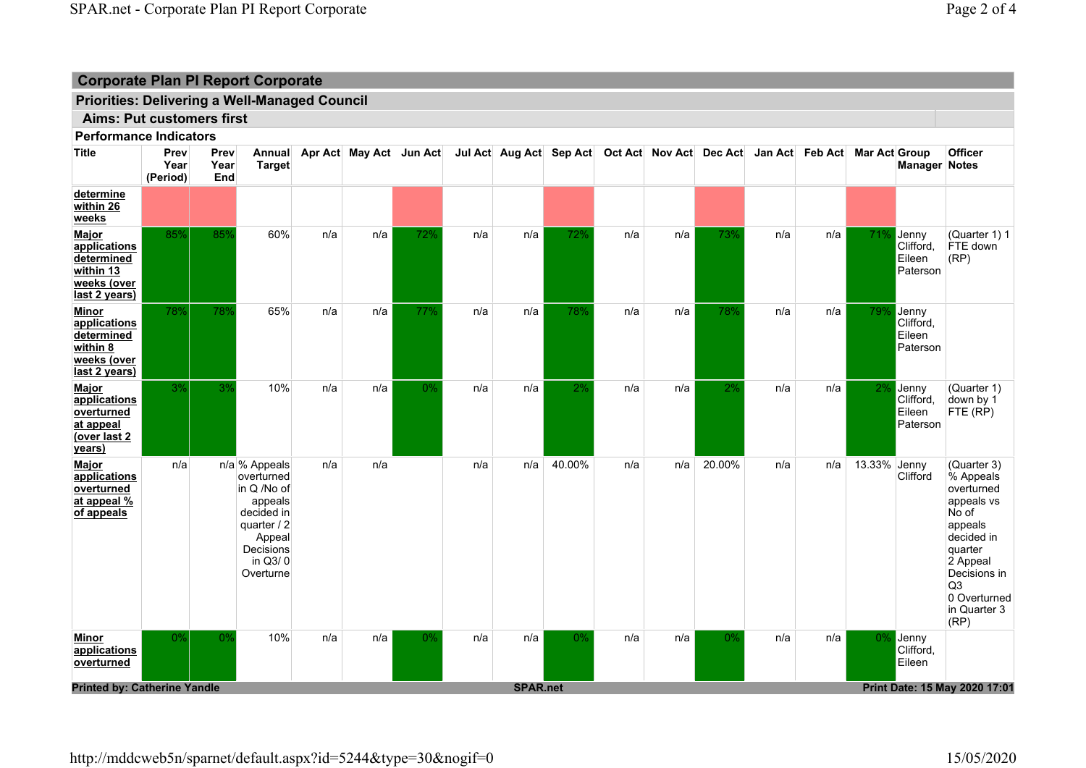# Corporate Plan PI Report Corporate

## Priorities: Delivering a Well-Managed Council

## Aims: Put customers first

Performance Indicators

| <b>Title</b>                                                                             | Prev<br>Year<br>(Period) | Prev<br>Year<br>End | Annual<br><b>Target</b>                                                                                                           |     | Apr Act May Act Jun Act |     |     | Jul Act Aug Act Sep Act Oct Act Nov Act Dec Act Jan Act Feb Act Mar Act Group |        |     |     |        |     |     |              | <b>Manager Notes</b>                     | <b>Officer</b>                                                                                                                                                                          |
|------------------------------------------------------------------------------------------|--------------------------|---------------------|-----------------------------------------------------------------------------------------------------------------------------------|-----|-------------------------|-----|-----|-------------------------------------------------------------------------------|--------|-----|-----|--------|-----|-----|--------------|------------------------------------------|-----------------------------------------------------------------------------------------------------------------------------------------------------------------------------------------|
| determine<br>within 26<br>weeks                                                          |                          |                     |                                                                                                                                   |     |                         |     |     |                                                                               |        |     |     |        |     |     |              |                                          |                                                                                                                                                                                         |
| Major<br>applications<br>determined<br>within 13<br>weeks (over<br>last 2 years)         | 85%                      | 85%                 | 60%                                                                                                                               | n/a | n/a                     | 72% | n/a | n/a                                                                           | 72%    | n/a | n/a | 73%    | n/a | n/a | 71%          | Jenny<br>Clifford<br>Eileen<br>Paterson  | (Quarter 1) 1<br>FTE down<br>(RP)                                                                                                                                                       |
| <b>Minor</b><br>applications<br>determined<br>within $8$<br>weeks (over<br>last 2 years) | 78%                      | 78%                 | 65%                                                                                                                               | n/a | n/a                     | 77% | n/a | n/a                                                                           | 78%    | n/a | n/a | 78%    | n/a | n/a | 79%          | Jenny<br>Clifford,<br>Eileen<br>Paterson |                                                                                                                                                                                         |
| Major<br>applications<br>overturned<br>at appeal<br>(over last 2<br>years)               | 3%                       | 3%                  | 10%                                                                                                                               | n/a | n/a                     | 0%  | n/a | n/a                                                                           | 2%     | n/a | n/a | 2%     | n/a | n/a | 2%           | Jenny<br>Clifford,<br>Eileen<br>Paterson | (Quarter 1)<br>down by 1<br>FTE (RP)                                                                                                                                                    |
| Major<br>applications<br>overturned<br>at appeal %<br>of appeals                         | n/a                      |                     | n/a % Appeals<br>overturned<br>in Q /No of<br>appeals<br>decided in<br>quarter / 2<br>Appeal<br>Decisions<br>in Q3/0<br>Overturne | n/a | n/a                     |     | n/a | n/a                                                                           | 40.00% | n/a | n/a | 20.00% | n/a | n/a | 13.33% Jenny | Clifford                                 | (Quarter 3)<br>% Appeals<br>overturned<br>appeals vs<br>No of<br>appeals<br>decided in<br>quarter<br>2 Appeal<br>Decisions in<br>Q <sub>3</sub><br>0 Overturned<br>in Quarter 3<br>(RP) |
| <b>Minor</b><br>applications<br>overturned                                               | 0%                       | 0%                  | 10%                                                                                                                               | n/a | n/a                     | 0%  | n/a | n/a                                                                           | 0%     | n/a | n/a | 0%     | n/a | n/a | $0\%$        | Jenny<br>Clifford,<br>Eileen             |                                                                                                                                                                                         |
| <b>Printed by: Catherine Yandle</b>                                                      |                          |                     |                                                                                                                                   |     |                         |     |     | <b>SPAR.net</b>                                                               |        |     |     |        |     |     |              |                                          | Print Date: 15 May 2020 17:01                                                                                                                                                           |

http://mddcweb5n/sparnet/default.aspx?id=5244&type=30&nogif=0 15/05/2020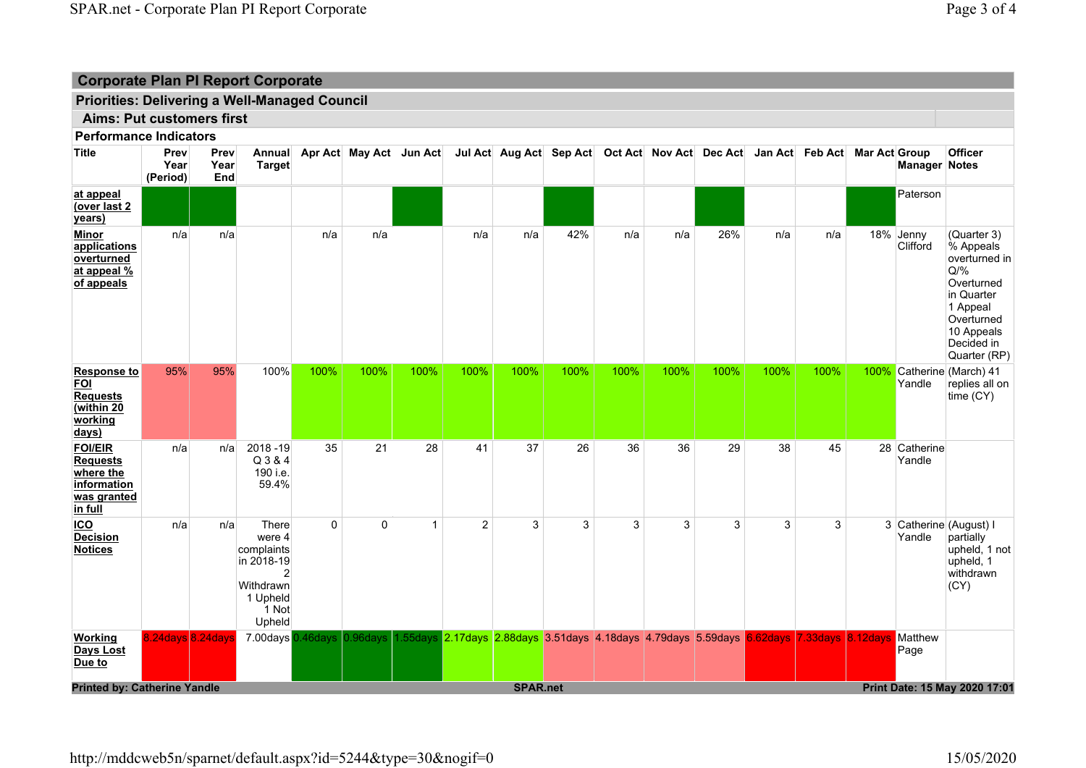# Priorities: Delivering a Well-Managed Council

# Aims: Put customers first

Performance Indicators

| <b>Title</b>                                                                            | Prev<br>Year<br>(Period) | Prev<br>Year<br>End | <b>Target</b>                                                                                |                            | Annual Apr Act May Act Jun Act Jul Act Aug Act Sep Act Oct Act Nov Act Dec Act Jan Act Feb Act Mar Act Group |                |                |                 |      |      |      |      |      |                                                                                           |      | <b>Manager Notes</b>   | <b>Officer</b>                                                                                                                                        |
|-----------------------------------------------------------------------------------------|--------------------------|---------------------|----------------------------------------------------------------------------------------------|----------------------------|--------------------------------------------------------------------------------------------------------------|----------------|----------------|-----------------|------|------|------|------|------|-------------------------------------------------------------------------------------------|------|------------------------|-------------------------------------------------------------------------------------------------------------------------------------------------------|
| at appeal<br>(over last 2<br>years)                                                     |                          |                     |                                                                                              |                            |                                                                                                              |                |                |                 |      |      |      |      |      |                                                                                           |      | Paterson               |                                                                                                                                                       |
| <b>Minor</b><br>applications<br>overturned<br>at appeal %<br>of appeals                 | n/a                      | n/a                 |                                                                                              | n/a                        | n/a                                                                                                          |                | n/a            | n/a             | 42%  | n/a  | n/a  | 26%  | n/a  | n/a                                                                                       |      | 18% Jenny<br>Clifford  | (Quarter 3)<br>% Appeals<br>overturned in<br>$Q/\%$<br>Overturned<br>in Quarter<br>1 Appeal<br>Overturned<br>10 Appeals<br>Decided in<br>Quarter (RP) |
| <b>Response to</b><br><b>FOI</b><br><b>Requests</b><br>(within 20<br>working<br>days)   | 95%                      | 95%                 | 100%                                                                                         | 100%                       | 100%                                                                                                         | 100%           | 100%           | 100%            | 100% | 100% | 100% | 100% | 100% | 100%                                                                                      | 100% | Yandle                 | Catherine (March) 41<br>replies all on<br>time (CY)                                                                                                   |
| <b>FOI/EIR</b><br><b>Requests</b><br>where the<br>information<br>was granted<br>in full | n/a                      | n/a                 | 2018-19<br>Q 3 & 4<br>190 i.e.<br>59.4%                                                      | 35                         | 21                                                                                                           | 28             | 41             | 37              | 26   | 36   | 36   | 29   | 38   | 45                                                                                        |      | 28 Catherine<br>Yandle |                                                                                                                                                       |
| $ICO$<br><b>Decision</b><br><b>Notices</b>                                              | n/a                      | n/a                 | There<br>were 4<br>complaints<br>in 2018-19<br>2<br>Withdrawn<br>1 Upheld<br>1 Not<br>Upheld | $\mathbf 0$                | 0                                                                                                            | $\overline{1}$ | $\overline{2}$ | 3               | 3    | 3    | 3    | 3    | 3    | 3                                                                                         |      | Yandle                 | 3 Catherine (August) I<br>partially<br>upheld, 1 not<br>upheld, 1<br>withdrawn<br>(CY)                                                                |
| <b>Working</b><br>Days Lost<br>Due to                                                   |                          | 8.24days 8.24days   |                                                                                              | 7.00days 0.46days 0.96days |                                                                                                              |                |                |                 |      |      |      |      |      | 1.55days 2.17days 2.88days 3.51days 4.18days 4.79days 5.59days 6.62days 7.33days 8.12days |      | Matthew<br>Page        |                                                                                                                                                       |
| <b>Printed by: Catherine Yandle</b>                                                     |                          |                     |                                                                                              |                            |                                                                                                              |                |                | <b>SPAR.net</b> |      |      |      |      |      |                                                                                           |      |                        | Print Date: 15 May 2020 17:01                                                                                                                         |